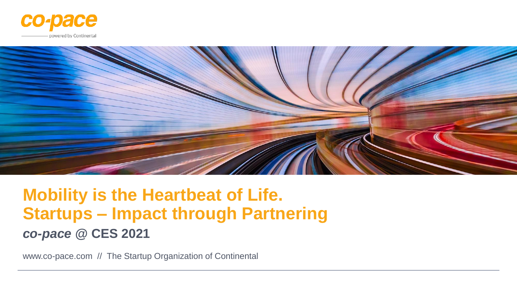



# **Mobility is the Heartbeat of Life. Startups – Impact through Partnering** *co-pace* **@ CES 2021**

www.co-pace.com // The Startup Organization of Continental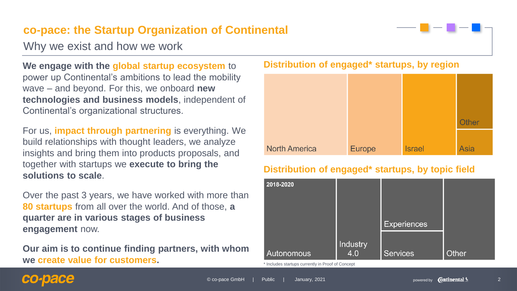### **co-pace: the Startup Organization of Continental**

Why we exist and how we work

**We engage with the global startup ecosystem** to power up Continental's ambitions to lead the mobility wave – and beyond. For this, we onboard **new technologies and business models**, independent of Continental's organizational structures.

For us, **impact through partnering** is everything. We build relationships with thought leaders, we analyze insights and bring them into products proposals, and together with startups we **execute to bring the solutions to scale**.

Over the past 3 years, we have worked with more than **80 startups** from all over the world. And of those, **a quarter are in various stages of business engagement** now.

**Our aim is to continue finding partners, with whom we create value for customers.** 

### **Distribution of engaged\* startups, by region**



### **Distribution of engaged\* startups, by topic field**



### co-pace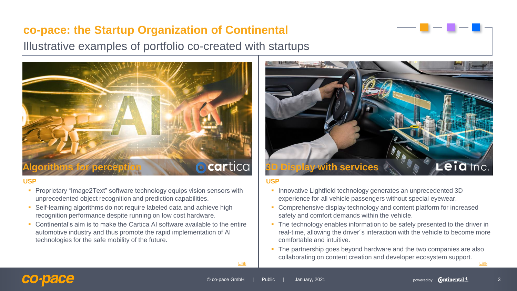### **co-pace: the Startup Organization of Continental**

Illustrative examples of portfolio co-created with startups



#### **USP**

- **Proprietary "Image2Text" software technology equips vision sensors with** unprecedented object recognition and prediction capabilities.
- Self-learning algorithms do not require labeled data and achieve high recognition performance despite running on low cost hardware.
- Continental's aim is to make the Cartica AI software available to the entire automotive industry and thus promote the rapid implementation of AI technologies for the safe mobility of the future.



#### **USP**

- **·** Innovative Lightfield technology generates an unprecedented 3D experience for all vehicle passengers without special eyewear.
- Comprehensive display technology and content platform for increased safety and comfort demands within the vehicle.
- The technology enables information to be safely presented to the driver in real-time, allowing the driver´s interaction with the vehicle to become more comfortable and intuitive.
- The partnership goes beyond hardware and the two companies are also collaborating on content creation and developer ecosystem support.

[Link](https://www.continental.com/en/press/press-releases/continental-continues-invest-in-artificial-intelligence-186034) [Link](https://www.continental.com/en/press/press-releases/2019-06-11-3d-instrument-cluster-174836)

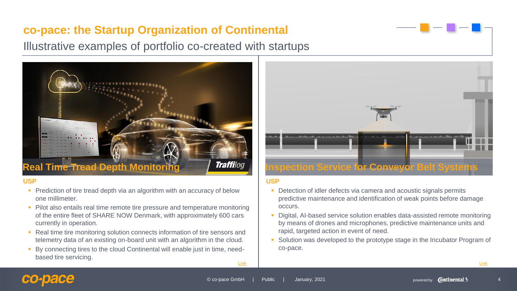### **co-pace: the Startup Organization of Continental**

Illustrative examples of portfolio co-created with startups



#### **USP**

- Prediction of tire tread depth via an algorithm with an accuracy of below one millimeter.
- **Pilot also entails real time remote tire pressure and temperature monitoring** of the entire fleet of SHARE NOW Denmark, with approximately 600 cars currently in operation.
- Real time tire monitoring solution connects information of tire sensors and telemetry data of an existing on-board unit with an algorithm in the cloud.
- By connecting tires to the cloud Continental will enable just in time, needbased tire servicing.



#### **USP**

- **Detection of idler defects via camera and acoustic signals permits** predictive maintenance and identification of weak points before damage occurs.
- Digital, AI-based service solution enables data-assisted remote monitoring by means of drones and microphones, predictive maintenance units and rapid, targeted action in event of need.
- Solution was developed to the prototype stage in the Incubator Program of co-pace.

[Link](https://www.continental.com/en/press/press-releases/2020-12-10-tread-depth-monitoring-242922)

[Link](https://www.continental.com/en/press/press-releases/sensor-based-inspection-service-242928)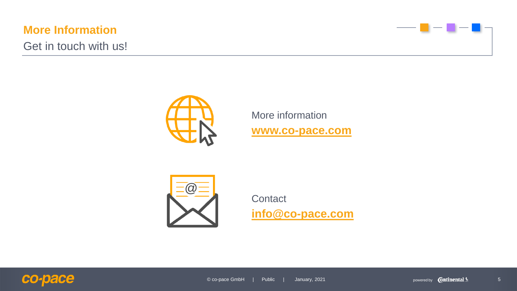### **More Information**

Get in touch with us!





More information **[www.co-pace.com](http://www.co-pace.com/)**



**Contact [info@co-pace.com](mailto:info@co-pace.com)**